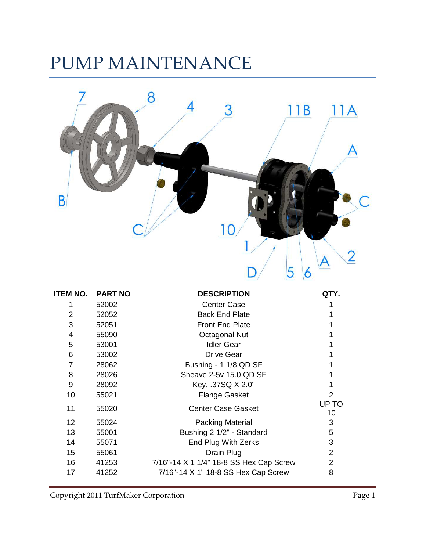# PUMP MAINTENANCE



| ITEM NO. | <b>PART NO</b> | <b>DESCRIPTION</b>                      | QTY.           |
|----------|----------------|-----------------------------------------|----------------|
|          | 52002          | <b>Center Case</b>                      |                |
| 2        | 52052          | <b>Back End Plate</b>                   |                |
| 3        | 52051          | <b>Front End Plate</b>                  |                |
| 4        | 55090          | Octagonal Nut                           |                |
| 5        | 53001          | <b>Idler Gear</b>                       |                |
| 6        | 53002          | <b>Drive Gear</b>                       |                |
| 7        | 28062          | Bushing - 1 1/8 QD SF                   |                |
| 8        | 28026          | Sheave 2-5v 15.0 QD SF                  |                |
| 9        | 28092          | Key, .37SQ X 2.0"                       | 1              |
| 10       | 55021          | <b>Flange Gasket</b>                    | $\overline{2}$ |
| 11       | 55020          | <b>Center Case Gasket</b>               | UP TO<br>10    |
| 12       | 55024          | <b>Packing Material</b>                 | 3              |
| 13       | 55001          | Bushing 2 1/2" - Standard               | 5              |
| 14       | 55071          | End Plug With Zerks                     | 3              |
| 15       | 55061          | Drain Plug                              | $\overline{2}$ |
| 16       | 41253          | 7/16"-14 X 1 1/4" 18-8 SS Hex Cap Screw | $\overline{2}$ |
| 17       | 41252          | 7/16"-14 X 1" 18-8 SS Hex Cap Screw     | 8              |
|          |                |                                         |                |

Copyright 2011 TurfMaker Corporation Page 1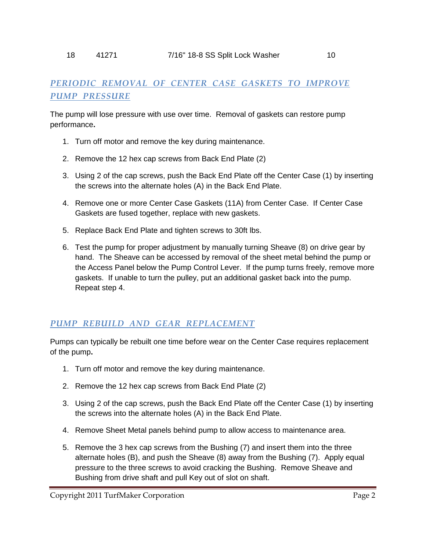## *PERIODIC REMOVAL OF CENTER CASE GASKETS TO IMPROVE PUMP PRESSURE*

The pump will lose pressure with use over time. Removal of gaskets can restore pump performance**.**

- 1. Turn off motor and remove the key during maintenance.
- 2. Remove the 12 hex cap screws from Back End Plate (2)
- 3. Using 2 of the cap screws, push the Back End Plate off the Center Case (1) by inserting the screws into the alternate holes (A) in the Back End Plate.
- 4. Remove one or more Center Case Gaskets (11A) from Center Case. If Center Case Gaskets are fused together, replace with new gaskets.
- 5. Replace Back End Plate and tighten screws to 30ft lbs.
- 6. Test the pump for proper adjustment by manually turning Sheave (8) on drive gear by hand. The Sheave can be accessed by removal of the sheet metal behind the pump or the Access Panel below the Pump Control Lever. If the pump turns freely, remove more gaskets. If unable to turn the pulley, put an additional gasket back into the pump. Repeat step 4.

### *PUMP REBUILD AND GEAR REPLACEMENT*

Pumps can typically be rebuilt one time before wear on the Center Case requires replacement of the pump**.**

- 1. Turn off motor and remove the key during maintenance.
- 2. Remove the 12 hex cap screws from Back End Plate (2)
- 3. Using 2 of the cap screws, push the Back End Plate off the Center Case (1) by inserting the screws into the alternate holes (A) in the Back End Plate.
- 4. Remove Sheet Metal panels behind pump to allow access to maintenance area.
- 5. Remove the 3 hex cap screws from the Bushing (7) and insert them into the three alternate holes (B), and push the Sheave (8) away from the Bushing (7). Apply equal pressure to the three screws to avoid cracking the Bushing. Remove Sheave and Bushing from drive shaft and pull Key out of slot on shaft.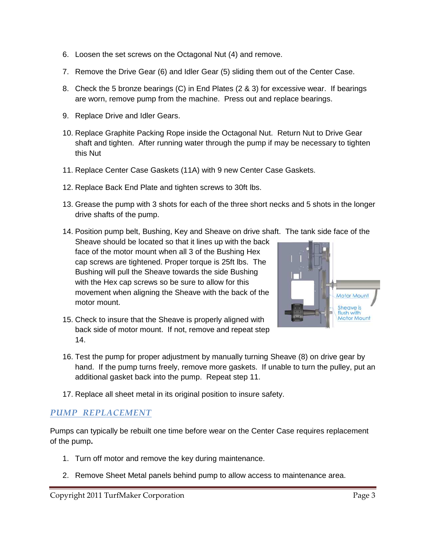- 6. Loosen the set screws on the Octagonal Nut (4) and remove.
- 7. Remove the Drive Gear (6) and Idler Gear (5) sliding them out of the Center Case.
- 8. Check the 5 bronze bearings (C) in End Plates (2 & 3) for excessive wear. If bearings are worn, remove pump from the machine. Press out and replace bearings.
- 9. Replace Drive and Idler Gears.
- 10. Replace Graphite Packing Rope inside the Octagonal Nut. Return Nut to Drive Gear shaft and tighten. After running water through the pump if may be necessary to tighten this Nut
- 11. Replace Center Case Gaskets (11A) with 9 new Center Case Gaskets.
- 12. Replace Back End Plate and tighten screws to 30ft lbs.
- 13. Grease the pump with 3 shots for each of the three short necks and 5 shots in the longer drive shafts of the pump.
- 14. Position pump belt, Bushing, Key and Sheave on drive shaft. The tank side face of the

Sheave should be located so that it lines up with the back face of the motor mount when all 3 of the Bushing Hex cap screws are tightened. Proper torque is 25ft lbs. The Bushing will pull the Sheave towards the side Bushing with the Hex cap screws so be sure to allow for this movement when aligning the Sheave with the back of the motor mount.



- 15. Check to insure that the Sheave is properly aligned with back side of motor mount. If not, remove and repeat step 14.
- 16. Test the pump for proper adjustment by manually turning Sheave (8) on drive gear by hand. If the pump turns freely, remove more gaskets. If unable to turn the pulley, put an additional gasket back into the pump. Repeat step 11.
- 17. Replace all sheet metal in its original position to insure safety.

#### *PUMP REPLACEMENT*

Pumps can typically be rebuilt one time before wear on the Center Case requires replacement of the pump**.**

- 1. Turn off motor and remove the key during maintenance.
- 2. Remove Sheet Metal panels behind pump to allow access to maintenance area.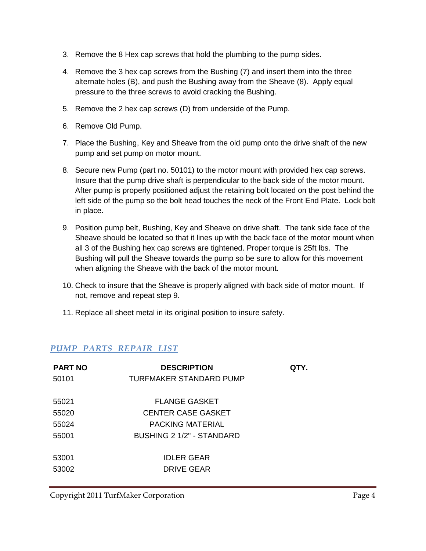- 3. Remove the 8 Hex cap screws that hold the plumbing to the pump sides.
- 4. Remove the 3 hex cap screws from the Bushing (7) and insert them into the three alternate holes (B), and push the Bushing away from the Sheave (8). Apply equal pressure to the three screws to avoid cracking the Bushing.
- 5. Remove the 2 hex cap screws (D) from underside of the Pump.
- 6. Remove Old Pump.
- 7. Place the Bushing, Key and Sheave from the old pump onto the drive shaft of the new pump and set pump on motor mount.
- 8. Secure new Pump (part no. 50101) to the motor mount with provided hex cap screws. Insure that the pump drive shaft is perpendicular to the back side of the motor mount. After pump is properly positioned adjust the retaining bolt located on the post behind the left side of the pump so the bolt head touches the neck of the Front End Plate. Lock bolt in place.
- 9. Position pump belt, Bushing, Key and Sheave on drive shaft. The tank side face of the Sheave should be located so that it lines up with the back face of the motor mount when all 3 of the Bushing hex cap screws are tightened. Proper torque is 25ft lbs. The Bushing will pull the Sheave towards the pump so be sure to allow for this movement when aligning the Sheave with the back of the motor mount.
- 10. Check to insure that the Sheave is properly aligned with back side of motor mount. If not, remove and repeat step 9.
- 11. Replace all sheet metal in its original position to insure safety.

#### *PUMP PARTS REPAIR LIST*

| <b>PART NO</b> | <b>DESCRIPTION</b>        | QTY. |
|----------------|---------------------------|------|
| 50101          | TURFMAKER STANDARD PUMP   |      |
| 55021          | <b>FLANGE GASKET</b>      |      |
| 55020          | <b>CENTER CASE GASKET</b> |      |
| 55024          | PACKING MATERIAL          |      |
| 55001          | BUSHING 2 1/2" - STANDARD |      |
| 53001          | <b>IDLER GEAR</b>         |      |
| 53002          | <b>DRIVE GEAR</b>         |      |